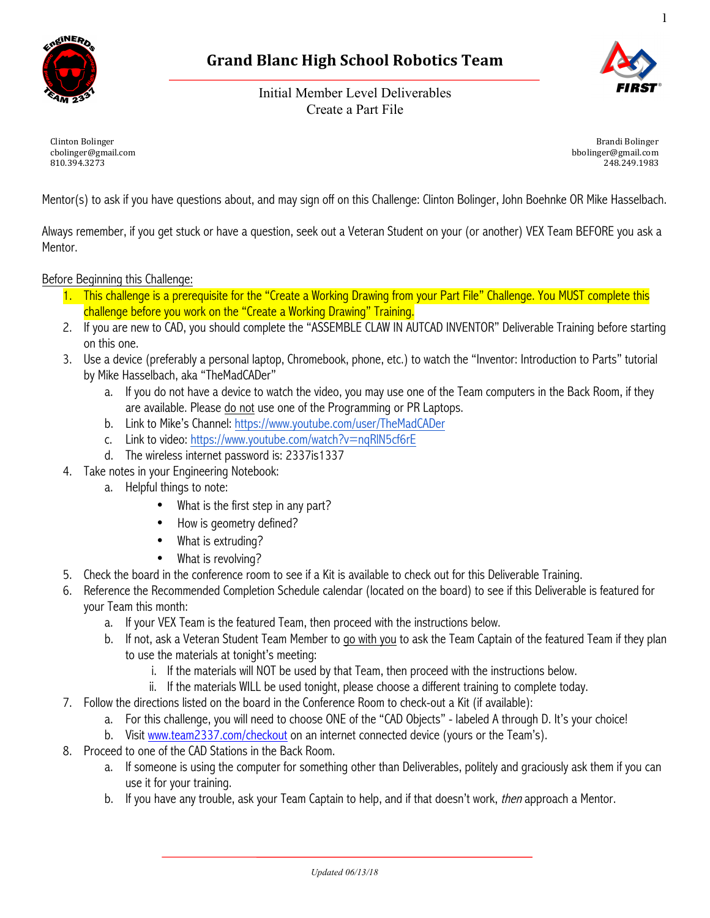

# **Grand Blanc High School Robotics Team**

Initial Member Level Deliverables Create a Part File



1

Clinton Bolinger cbolinger@gmail.com 810.394.3273

Brandi Bolinger bbolinger@gmail.com 248.249.1983

Mentor(s) to ask if you have questions about, and may sign off on this Challenge: Clinton Bolinger, John Boehnke OR Mike Hasselbach.

Always remember, if you get stuck or have a question, seek out a Veteran Student on your (or another) VEX Team BEFORE you ask a Mentor.

### Before Beginning this Challenge:

- 1. This challenge is a prerequisite for the "Create a Working Drawing from your Part File" Challenge. You MUST complete this challenge before you work on the "Create a Working Drawing" Training.
- 2. If you are new to CAD, you should complete the "ASSEMBLE CLAW IN AUTCAD INVENTOR" Deliverable Training before starting on this one.
- 3. Use a device (preferably a personal laptop, Chromebook, phone, etc.) to watch the "Inventor: Introduction to Parts" tutorial by Mike Hasselbach, aka "TheMadCADer"
	- a. If you do not have a device to watch the video, you may use one of the Team computers in the Back Room, if they are available. Please do not use one of the Programming or PR Laptops.
	- b. Link to Mike's Channel: https://www.youtube.com/user/TheMadCADer
	- c. Link to video: https://www.youtube.com/watch?v=nqRlN5cf6rE
	- d. The wireless internet password is: 2337is1337
- 4. Take notes in your Engineering Notebook:
	- a. Helpful things to note:
		- What is the first step in any part?
		- How is geometry defined?
		- What is extruding?
		- What is revolving?
- 5. Check the board in the conference room to see if a Kit is available to check out for this Deliverable Training.
- 6. Reference the Recommended Completion Schedule calendar (located on the board) to see if this Deliverable is featured for your Team this month:
	- a. If your VEX Team is the featured Team, then proceed with the instructions below.
	- b. If not, ask a Veteran Student Team Member to go with you to ask the Team Captain of the featured Team if they plan to use the materials at tonight's meeting:
		- i. If the materials will NOT be used by that Team, then proceed with the instructions below.
		- ii. If the materials WILL be used tonight, please choose a different training to complete today.
- 7. Follow the directions listed on the board in the Conference Room to check-out a Kit (if available):
	- a. For this challenge, you will need to choose ONE of the "CAD Objects" labeled A through D. It's your choice!
	- b. Visit www.team2337.com/checkout on an internet connected device (yours or the Team's).
- 8. Proceed to one of the CAD Stations in the Back Room.
	- a. If someone is using the computer for something other than Deliverables, politely and graciously ask them if you can use it for your training.
	- b. If you have any trouble, ask your Team Captain to help, and if that doesn't work, *then* approach a Mentor.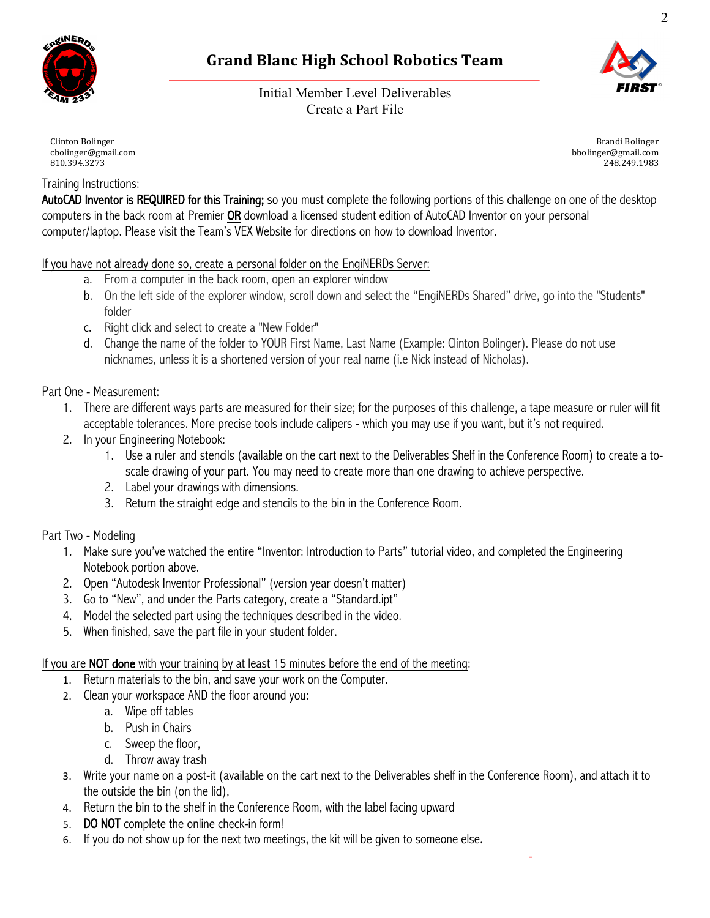

# **Grand Blanc High School Robotics Team**

Initial Member Level Deliverables Create a Part File



Brandi Bolinger bbolinger@gmail.com 248.249.1983

Clinton Bolinger cbolinger@gmail.com 810.394.3273

## Training Instructions:

AutoCAD Inventor is REQUIRED for this Training; so you must complete the following portions of this challenge on one of the desktop computers in the back room at Premier OR download a licensed student edition of AutoCAD Inventor on your personal computer/laptop. Please visit the Team's VEX Website for directions on how to download Inventor.

If you have not already done so, create a personal folder on the EngiNERDs Server:

- a. From a computer in the back room, open an explorer window
- b. On the left side of the explorer window, scroll down and select the "EngiNERDs Shared" drive, go into the "Students" folder
- c. Right click and select to create a "New Folder"
- d. Change the name of the folder to YOUR First Name, Last Name (Example: Clinton Bolinger). Please do not use nicknames, unless it is a shortened version of your real name (i.e Nick instead of Nicholas).

## Part One - Measurement:

- 1. There are different ways parts are measured for their size; for the purposes of this challenge, a tape measure or ruler will fit acceptable tolerances. More precise tools include calipers - which you may use if you want, but it's not required.
- 2. In your Engineering Notebook:
	- 1. Use a ruler and stencils (available on the cart next to the Deliverables Shelf in the Conference Room) to create a toscale drawing of your part. You may need to create more than one drawing to achieve perspective.
	- 2. Label your drawings with dimensions.
	- 3. Return the straight edge and stencils to the bin in the Conference Room.

## Part Two - Modeling

- 1. Make sure you've watched the entire "Inventor: Introduction to Parts" tutorial video, and completed the Engineering Notebook portion above.
- 2. Open "Autodesk Inventor Professional" (version year doesn't matter)
- 3. Go to "New", and under the Parts category, create a "Standard.ipt"
- 4. Model the selected part using the techniques described in the video.
- 5. When finished, save the part file in your student folder.

If you are **NOT done** with your training by at least 15 minutes before the end of the meeting:

- 1. Return materials to the bin, and save your work on the Computer.
- 2. Clean your workspace AND the floor around you:
	- a. Wipe off tables
	- b. Push in Chairs
	- c. Sweep the floor,
	- d. Throw away trash
- 3. Write your name on a post-it (available on the cart next to the Deliverables shelf in the Conference Room), and attach it to the outside the bin (on the lid),
- 4. Return the bin to the shelf in the Conference Room, with the label facing upward
- 5. DO NOT complete the online check-in form!
- 6. If you do not show up for the next two meetings, the kit will be given to someone else.